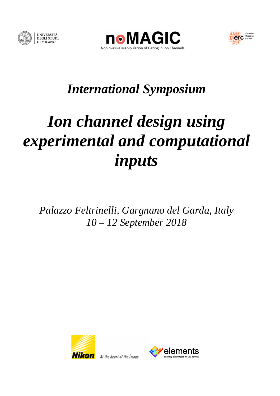





## *International Symposium*

# *Ion channel design using experimental and computational inputs*

*Palazzo Feltrinelli, Gargnano del Garda, Italy 10 – 12 September 2018* 



**Nikon** At the heart of the image

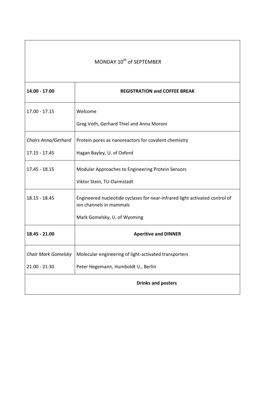| MONDAY 10 <sup>th</sup> of SEPTEMBER |                                                                                                        |  |
|--------------------------------------|--------------------------------------------------------------------------------------------------------|--|
| 14.00 - 17.00                        | <b>REGISTRATION and COFFEE BREAK</b>                                                                   |  |
| 17.00 - 17.15                        | Welcome                                                                                                |  |
|                                      | Greg Voth, Gerhard Thiel and Anna Moroni                                                               |  |
| Chairs Anna/Gerhard                  | Protein pores as nanoreactors for covalent chemistry                                                   |  |
| 17.15 - 17.45                        | Hagan Bayley, U. of Oxford                                                                             |  |
| 17.45 - 18.15                        | Modular Approaches to Engineering Protein Sensors                                                      |  |
|                                      | Viktor Stein, TU-Darmstadt                                                                             |  |
| 18.15 - 18.45                        | Engineered nucleotide cyclases for near-infrared light activated control of<br>ion channels in mammals |  |
|                                      | Mark Gomelsky, U. of Wyoming                                                                           |  |
| 18.45 - 21.00                        | <b>Aperitive and DINNER</b>                                                                            |  |
|                                      | Chair Mark Gomelsky   Molecular engineering of light-activated transporters                            |  |
| $21.00 - 21.30$                      | Peter Hegemann, Humboldt U., Berlin                                                                    |  |
|                                      | <b>Drinks and posters</b>                                                                              |  |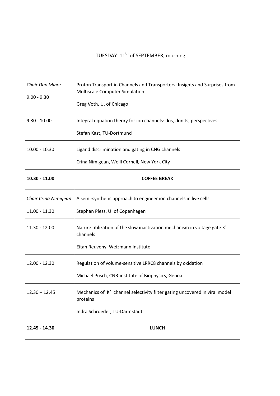| TUESDAY 11 <sup>th</sup> of SEPTEMBER, morning |                                                                                                                                                 |  |
|------------------------------------------------|-------------------------------------------------------------------------------------------------------------------------------------------------|--|
| <b>Chair Dan Minor</b><br>$9.00 - 9.30$        | Proton Transport in Channels and Transporters: Insights and Surprises from<br><b>Multiscale Computer Simulation</b><br>Greg Voth, U. of Chicago |  |
| $9.30 - 10.00$                                 | Integral equation theory for ion channels: dos, don'ts, perspectives<br>Stefan Kast, TU-Dortmund                                                |  |
| $10.00 - 10.30$                                | Ligand discrimination and gating in CNG channels<br>Crina Nimigean, Weill Cornell, New York City                                                |  |
| $10.30 - 11.00$                                | <b>COFFEE BREAK</b>                                                                                                                             |  |
| Chair Crina Nimigean<br>11.00 - 11.30          | A semi-synthetic approach to engineer ion channels in live cells<br>Stephan Pless, U. of Copenhagen                                             |  |
| 11.30 - 12.00                                  | Nature utilization of the slow inactivation mechanism in voltage gate $K^+$<br>channels<br>Eitan Reuveny, Weizmann Institute                    |  |
| 12.00 - 12.30                                  | Regulation of volume-sensitive LRRC8 channels by oxidation<br>Michael Pusch, CNR-institute of Biophysics, Genoa                                 |  |
| $12.30 - 12.45$                                | Mechanics of K <sup>+</sup> channel selectivity filter gating uncovered in viral model<br>proteins<br>Indra Schroeder, TU-Darmstadt             |  |
| 12.45 - 14.30                                  | <b>LUNCH</b>                                                                                                                                    |  |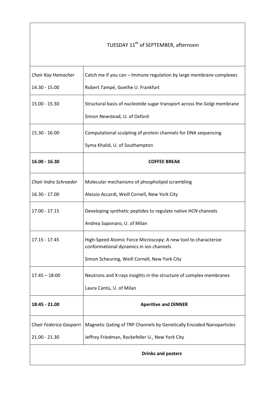#### TUESDAY 11<sup>th</sup> of SEPTEMBER, afternoon

| Chair Kay Hamacher<br>14.30 - 15.00        | Catch me if you can - Immune regulation by large membrane complexes<br>Robert Tampé, Goethe U. Frankfurt                                                   |  |
|--------------------------------------------|------------------------------------------------------------------------------------------------------------------------------------------------------------|--|
| 15.00 - 15.30                              | Structural basis of nucleotide sugar transport across the Golgi membrane<br>Simon Newstead, U. of Oxford                                                   |  |
| 15.30 - 16.00                              | Computational sculpting of protein channels for DNA sequencing<br>Syma Khalid, U. of Southampton                                                           |  |
| $16.00 - 16.30$                            | <b>COFFEE BREAK</b>                                                                                                                                        |  |
| Chair Indra Schroeder<br>16.30 - 17.00     | Molecular mechanisms of phospholipid scrambling<br>Alessio Accardi, Weill Cornell, New York City                                                           |  |
| 17.00 - 17.15                              | Developing synthetic peptides to regulate native HCN channels<br>Andrea Saponaro, U. of Milan                                                              |  |
| 17.15 - 17.45                              | High-Speed Atomic Force Microscopy: A new tool to characterize<br>conformational dynamics in ion channels<br>Simon Scheuring, Weill Cornell, New York City |  |
| $17.45 - 18:00$                            | Neutrons and X-rays insights in the structure of complex membranes<br>Laura Cantù, U. of Milan                                                             |  |
| 18:45 - 21.00                              | <b>Aperitive and DINNER</b>                                                                                                                                |  |
| Chair Federica Gasparri<br>$21.00 - 21.30$ | Magnetic Gating of TRP Channels by Genetically Encoded Nanoparticles<br>Jeffrey Friedman, Rockefeller U., New York City                                    |  |
| <b>Drinks and posters</b>                  |                                                                                                                                                            |  |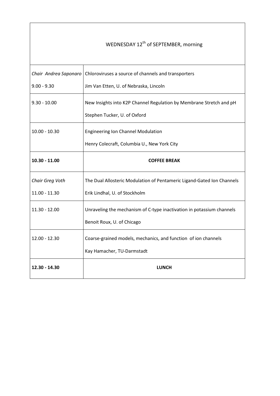#### WEDNESDAY 12<sup>th</sup> of SEPTEMBER, morning

| Chair Andrea Saponaro | Chloroviruses a source of channels and transporters                    |
|-----------------------|------------------------------------------------------------------------|
| $9.00 - 9.30$         | Jim Van Etten, U. of Nebraska, Lincoln                                 |
| $9.30 - 10.00$        | New Insights into K2P Channel Regulation by Membrane Stretch and pH    |
|                       | Stephen Tucker, U. of Oxford                                           |
| $10.00 - 10.30$       | Engineering Ion Channel Modulation                                     |
|                       | Henry Colecraft, Columbia U., New York City                            |
| $10.30 - 11.00$       | <b>COFFEE BREAK</b>                                                    |
| Chair Greg Voth       | The Dual Allosteric Modulation of Pentameric Ligand-Gated Ion Channels |
| 11.00 - 11.30         | Erik Lindhal, U. of Stockholm                                          |
| $11.30 - 12.00$       | Unraveling the mechanism of C-type inactivation in potassium channels  |
|                       | Benoit Roux, U. of Chicago                                             |
| 12.00 - 12.30         | Coarse-grained models, mechanics, and function of ion channels         |
|                       | Kay Hamacher, TU-Darmstadt                                             |
| 12.30 - 14.30         | <b>LUNCH</b>                                                           |